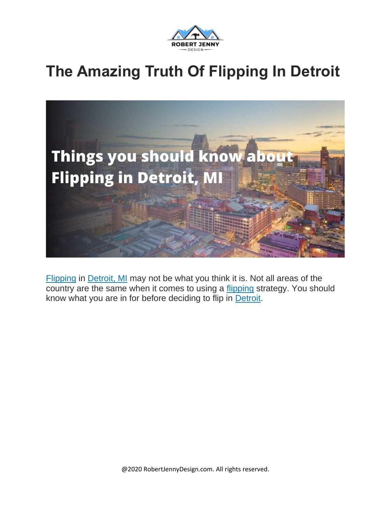

#### **The Amazing Truth Of Flipping In Detroit**



[Flipping](https://en.wikipedia.org/wiki/Flipping) in [Detroit,](https://en.wikipedia.org/wiki/Detroit) MI may not be what you think it is. Not all areas of the country are the same when it comes to using a [flipping](https://robertjennydesign.com/entity/flipping/) strategy. You should know what you are in for before deciding to flip in [Detroit.](https://robertjennydesign.com/entity/detroit/)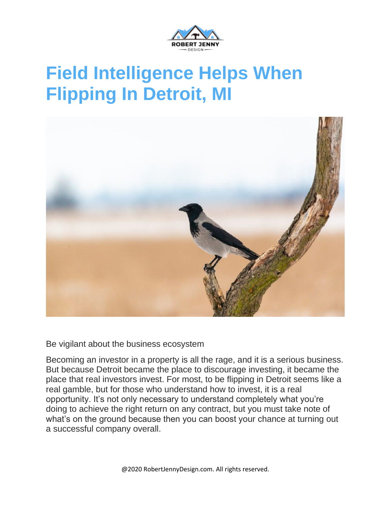

### **Field Intelligence Helps When Flipping In Detroit, MI**



Be vigilant about the business ecosystem

Becoming an investor in a property is all the rage, and it is a serious business. But because Detroit became the place to discourage investing, it became the place that real investors invest. For most, to be flipping in Detroit seems like a real gamble, but for those who understand how to invest, it is a real opportunity. It's not only necessary to understand completely what you're doing to achieve the right return on any contract, but you must take note of what's on the ground because then you can boost your chance at turning out a successful company overall.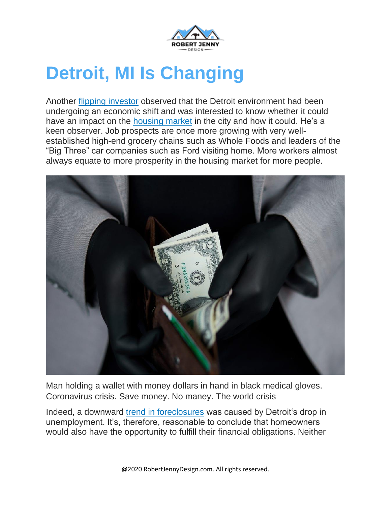

### **Detroit, MI Is Changing**

Another flipping [investor](https://robertjennydesign.com/flipping-houses-in-atlanta/) observed that the Detroit environment had been undergoing an economic shift and was interested to know whether it could have an impact on the [housing](https://robertjennydesign.com/entity/real-estate-economics/) market in the city and how it could. He's a keen observer. Job prospects are once more growing with very wellestablished high-end grocery chains such as Whole Foods and leaders of the "Big Three" car companies such as Ford visiting home. More workers almost always equate to more prosperity in the housing market for more people.



Man holding a wallet with money dollars in hand in black medical gloves. Coronavirus crisis. Save money. No maney. The world crisis

Indeed, a downward trend in [foreclosures](https://robertjennydesign.com/flipping-hud-home/) was caused by Detroit's drop in unemployment. It's, therefore, reasonable to conclude that homeowners would also have the opportunity to fulfill their financial obligations. Neither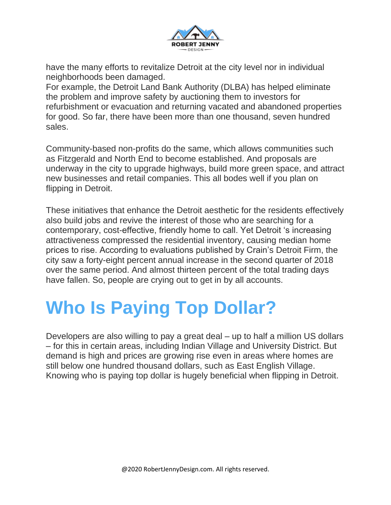

have the many efforts to revitalize Detroit at the city level nor in individual neighborhoods been damaged.

For example, the Detroit Land Bank Authority (DLBA) has helped eliminate the problem and improve safety by auctioning them to investors for refurbishment or evacuation and returning vacated and abandoned properties for good. So far, there have been more than one thousand, seven hundred sales.

Community-based non-profits do the same, which allows communities such as Fitzgerald and North End to become established. And proposals are underway in the city to upgrade highways, build more green space, and attract new businesses and retail companies. This all bodes well if you plan on flipping in Detroit.

These initiatives that enhance the Detroit aesthetic for the residents effectively also build jobs and revive the interest of those who are searching for a contemporary, cost-effective, friendly home to call. Yet Detroit 's increasing attractiveness compressed the residential inventory, causing median home prices to rise. According to evaluations published by Crain's Detroit Firm, the city saw a forty-eight percent annual increase in the second quarter of 2018 over the same period. And almost thirteen percent of the total trading days have fallen. So, people are crying out to get in by all accounts.

# **Who Is Paying Top Dollar?**

Developers are also willing to pay a great deal – up to half a million US dollars – for this in certain areas, including Indian Village and University District. But demand is high and prices are growing rise even in areas where homes are still below one hundred thousand dollars, such as East English Village. Knowing who is paying top dollar is hugely beneficial when flipping in Detroit.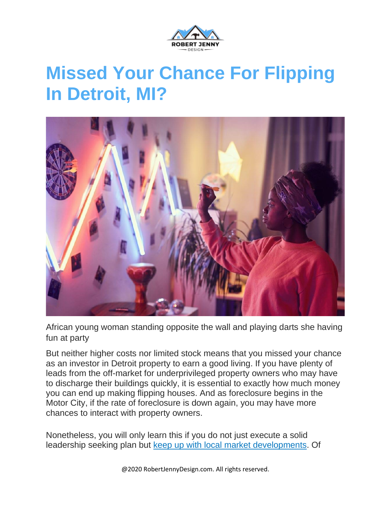

#### **Missed Your Chance For Flipping In Detroit, MI?**



African young woman standing opposite the wall and playing darts she having fun at party

But neither higher costs nor limited stock means that you missed your chance as an investor in Detroit property to earn a good living. If you have plenty of leads from the off-market for underprivileged property owners who may have to discharge their buildings quickly, it is essential to exactly how much money you can end up making flipping houses. And as foreclosure begins in the Motor City, if the rate of foreclosure is down again, you may have more chances to interact with property owners.

Nonetheless, you will only learn this if you do not just execute a solid leadership seeking plan but keep up with local market [developments.](https://robertjennydesign.com/connected-investors-deal-dog-software/) Of

@2020 RobertJennyDesign.com. All rights reserved.